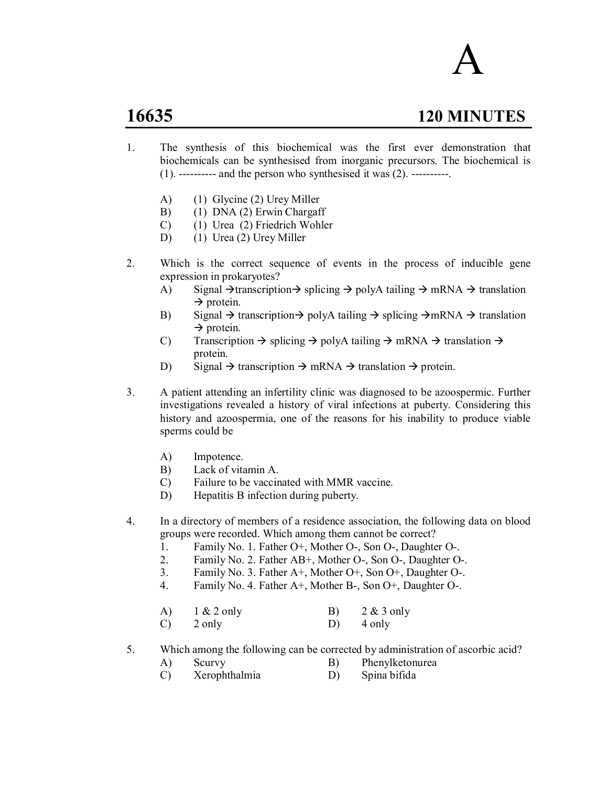# A

# **16635 120 MINUTES**

- 1. The synthesis of this biochemical was the first ever demonstration that biochemicals can be synthesised from inorganic precursors. The biochemical is  $(1)$ . ---------- and the person who synthesised it was  $(2)$ . ----------.
	- A) (1) Glycine (2) Urey Miller
	- B) (1) DNA (2) Erwin Chargaff
	- C) (1) Urea (2) Friedrich Wohler
	- D) (1) Urea (2) Urey Miller
- 2. Which is the correct sequence of events in the process of inducible gene expression in prokaryotes?
	- A) Signal  $\rightarrow$  transcription  $\rightarrow$  splicing  $\rightarrow$  polyA tailing  $\rightarrow$  mRNA  $\rightarrow$  translation  $\rightarrow$  protein.
	- B) Signal  $\rightarrow$  transcription  $\rightarrow$  polyA tailing  $\rightarrow$  splicing  $\rightarrow$  mRNA  $\rightarrow$  translation  $\rightarrow$  protein.
	- C) Transcription  $\rightarrow$  splicing  $\rightarrow$  polyA tailing  $\rightarrow$  mRNA  $\rightarrow$  translation  $\rightarrow$ protein.
	- D) Signal  $\rightarrow$  transcription  $\rightarrow$  mRNA  $\rightarrow$  translation  $\rightarrow$  protein.
- 3. A patient attending an infertility clinic was diagnosed to be azoospermic. Further investigations revealed a history of viral infections at puberty. Considering this history and azoospermia, one of the reasons for his inability to produce viable sperms could be
	- A) Impotence.
	- B) Lack of vitamin A.
	- C) Failure to be vaccinated with MMR vaccine.
	- D) Hepatitis B infection during puberty.

4. In a directory of members of a residence association, the following data on blood groups were recorded. Which among them cannot be correct?

- 1. Family No. 1. Father O+, Mother O-, Son O-, Daughter O-.
- 2. Family No. 2. Father AB+, Mother O-, Son O-, Daughter O-.
- 3. Family No. 3. Father A+, Mother O+, Son O+, Daughter O-.
- 4. Family No. 4. Father A+, Mother B-, Son O+, Daughter O-.

| A) | $1 & 2$ only | 2 & 3 only |
|----|--------------|------------|
|    |              |            |

 $(C)$  2 only  $D)$  4 only

5. Which among the following can be corrected by administration of ascorbic acid?

- A) Scurvy B) Phenylketonurea
- C) Xerophthalmia D) Spina bifida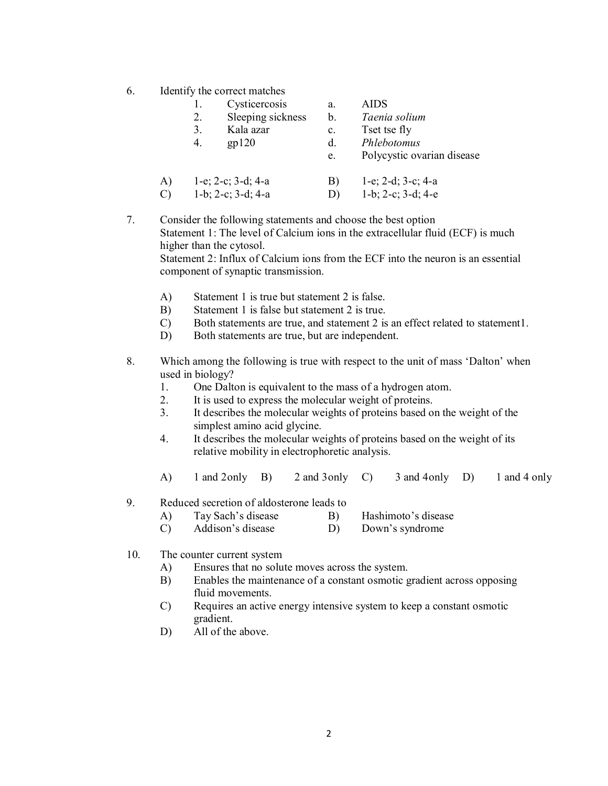6. Identify the correct matches

|    |    | rachter v the correct materies |                |                               |
|----|----|--------------------------------|----------------|-------------------------------|
|    |    | Cysticercosis                  | a.             | AIDS                          |
|    | 2. | Sleeping sickness              | $\mathbf{b}$ . | Taenia solium                 |
|    | 3. | Kala azar                      | $\mathbf{c}$ . | Tset tse fly                  |
|    | 4. | gp120                          | d.             | Phlebotomus                   |
|    |    |                                | e.             | Polycystic ovarian disease    |
| A) |    | $1-e$ ; $2-c$ ; $3-d$ ; $4-a$  | B)             | $1-e$ ; $2-d$ ; $3-c$ ; $4-a$ |
| C) |    | $1-b$ ; $2-c$ ; $3-d$ ; $4-a$  | D)             | $1-b$ ; $2-c$ ; $3-d$ ; $4-e$ |
|    |    |                                |                |                               |

7. Consider the following statements and choose the best option Statement 1: The level of Calcium ions in the extracellular fluid (ECF) is much higher than the cytosol. Statement 2: Influx of Calcium ions from the ECF into the neuron is an essential component of synaptic transmission.

- A) Statement 1 is true but statement 2 is false.
- B) Statement 1 is false but statement 2 is true.
- C) Both statements are true, and statement 2 is an effect related to statement1.
- D) Both statements are true, but are independent.
- 8. Which among the following is true with respect to the unit of mass 'Dalton' when used in biology?
	- 1. One Dalton is equivalent to the mass of a hydrogen atom.
	- 2. It is used to express the molecular weight of proteins.
	- 3. It describes the molecular weights of proteins based on the weight of the simplest amino acid glycine.
	- 4. It describes the molecular weights of proteins based on the weight of its relative mobility in electrophoretic analysis.
	- A) 1 and 2only B) 2 and 3only C) 3 and 4only D) 1 and 4 only
- 9. Reduced secretion of aldosterone leads to
	- A) Tay Sach's disease B) Hashimoto's disease
	- C) Addison's disease D) Down's syndrome
- 10. The counter current system
	- A) Ensures that no solute moves across the system.
	- B) Enables the maintenance of a constant osmotic gradient across opposing fluid movements.
	- C) Requires an active energy intensive system to keep a constant osmotic gradient.
	- D) All of the above.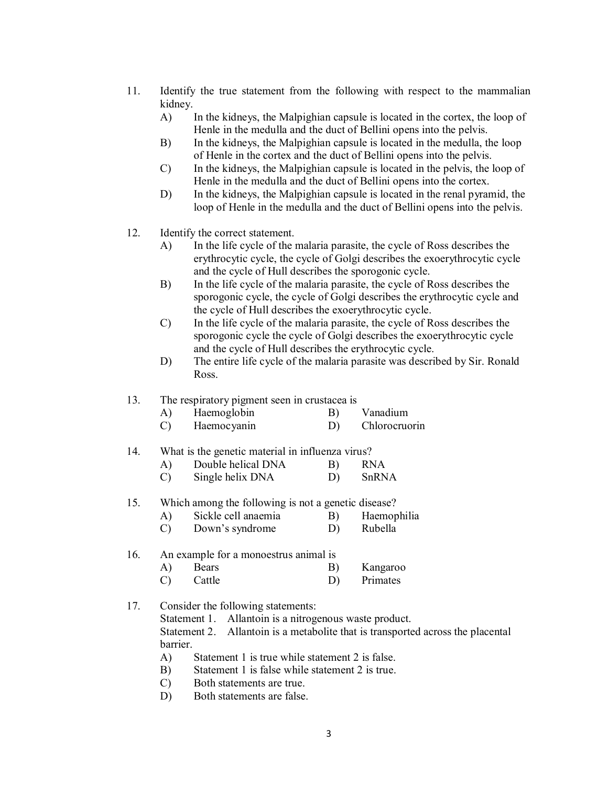- 11. Identify the true statement from the following with respect to the mammalian kidney.
	- A) In the kidneys, the Malpighian capsule is located in the cortex, the loop of Henle in the medulla and the duct of Bellini opens into the pelvis.
	- B) In the kidneys, the Malpighian capsule is located in the medulla, the loop of Henle in the cortex and the duct of Bellini opens into the pelvis.
	- C) In the kidneys, the Malpighian capsule is located in the pelvis, the loop of Henle in the medulla and the duct of Bellini opens into the cortex.
	- D) In the kidneys, the Malpighian capsule is located in the renal pyramid, the loop of Henle in the medulla and the duct of Bellini opens into the pelvis.
- 12. Identify the correct statement.
	- A) In the life cycle of the malaria parasite, the cycle of Ross describes the erythrocytic cycle, the cycle of Golgi describes the exoerythrocytic cycle and the cycle of Hull describes the sporogonic cycle.
	- B) In the life cycle of the malaria parasite, the cycle of Ross describes the sporogonic cycle, the cycle of Golgi describes the erythrocytic cycle and the cycle of Hull describes the exoerythrocytic cycle.
	- C) In the life cycle of the malaria parasite, the cycle of Ross describes the sporogonic cycle the cycle of Golgi describes the exoerythrocytic cycle and the cycle of Hull describes the erythrocytic cycle.
	- D) The entire life cycle of the malaria parasite was described by Sir. Ronald Ross.

# 13. The respiratory pigment seen in crustacea is

| A) | Haemoglobin | Vanadium |
|----|-------------|----------|
|    |             |          |

C) Haemocyanin D) Chlorocruorin

## 14. What is the genetic material in influenza virus?

- A) Double helical DNA B) RNA
- C) Single helix DNA D) SnRNA

#### 15. Which among the following is not a genetic disease?

- A) Sickle cell anaemia B) Haemophilia
- C) Down's syndrome D) Rubella

# 16. An example for a monoestrus animal is

A) Bears B) Kangaroo C) Cattle D) Primates

# 17. Consider the following statements:

Statement 1. Allantoin is a nitrogenous waste product.

Statement 2. Allantoin is a metabolite that is transported across the placental barrier.

- A) Statement 1 is true while statement 2 is false.
- B) Statement 1 is false while statement 2 is true.
- C) Both statements are true.
- D) Both statements are false.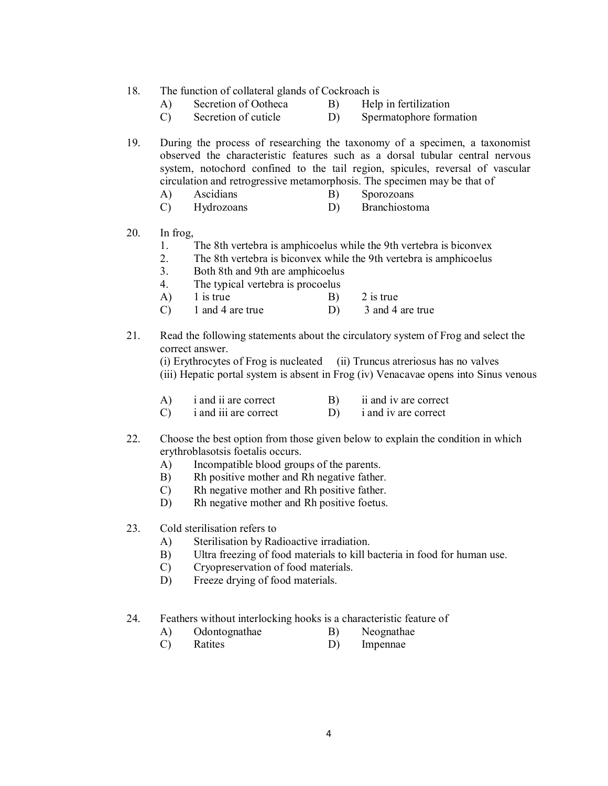#### 18. The function of collateral glands of Cockroach is

- A) Secretion of Ootheca B) Help in fertilization
- 
- C) Secretion of cuticle D) Spermatophore formation
- 
- 19. During the process of researching the taxonomy of a specimen, a taxonomist observed the characteristic features such as a dorsal tubular central nervous system, notochord confined to the tail region, spicules, reversal of vascular circulation and retrogressive metamorphosis. The specimen may be that of
	- A) Ascidians B) Sporozoans
	- C) Hydrozoans D) Branchiostoma
- 20. In frog,
	- 1. The 8th vertebra is amphicoelus while the 9th vertebra is biconvex
	- 2. The 8th vertebra is biconvex while the 9th vertebra is amphicoelus
	- 3. Both 8th and 9th are amphicoelus
	- 4. The typical vertebra is procoelus
	- A) 1 is true B) 2 is true
	- C) 1 and 4 are true D) 3 and 4 are true
- 21. Read the following statements about the circulatory system of Frog and select the correct answer.

(i) Erythrocytes of Frog is nucleated (ii) Truncus atreriosus has no valves (iii) Hepatic portal system is absent in Frog (iv) Venacavae opens into Sinus venous

- $(A)$  i and ii are correct  $(B)$  ii and iv are correct
- C) i and iii are correct D) i and iv are correct
- 22. Choose the best option from those given below to explain the condition in which erythroblasotsis foetalis occurs.
	- A) Incompatible blood groups of the parents.
	- B) Rh positive mother and Rh negative father.
	- C) Rh negative mother and Rh positive father.
	- D) Rh negative mother and Rh positive foetus.
- 23. Cold sterilisation refers to
	- A) Sterilisation by Radioactive irradiation.
	- B) Ultra freezing of food materials to kill bacteria in food for human use.
	- C) Cryopreservation of food materials.
	- D) Freeze drying of food materials.
- 24. Feathers without interlocking hooks is a characteristic feature of
	- A) Odontognathae B) Neognathae
	- C) Ratites D) Impennae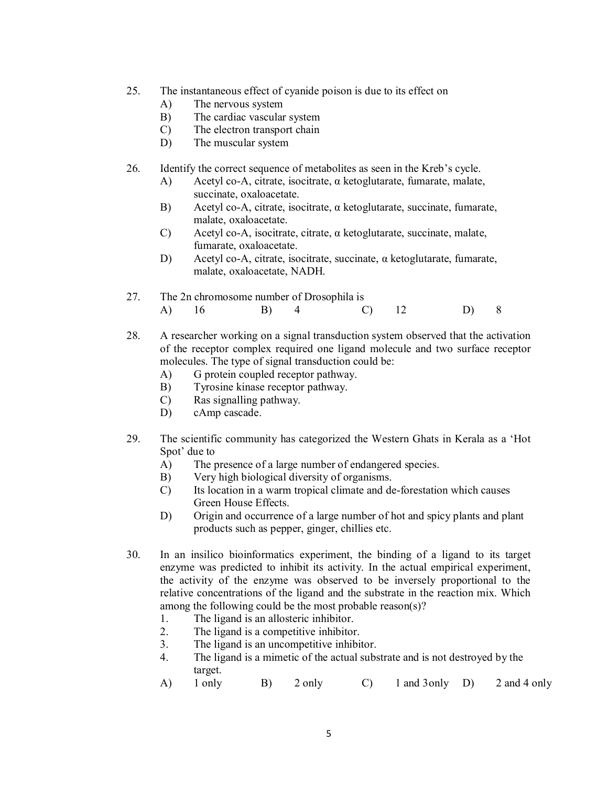- 25. The instantaneous effect of cyanide poison is due to its effect on
	- A) The nervous system
	- B) The cardiac vascular system
	- C) The electron transport chain
	- D) The muscular system
- 26. Identify the correct sequence of metabolites as seen in the Kreb's cycle.
	- A) Acetyl co-A, citrate, isocitrate,  $\alpha$  ketoglutarate, fumarate, malate, succinate, oxaloacetate.
	- B) Acetyl co-A, citrate, isocitrate, α ketoglutarate, succinate, fumarate, malate, oxaloacetate.
	- C) Acetyl co-A, isocitrate, citrate, α ketoglutarate, succinate, malate, fumarate, oxaloacetate.
	- D) Acetyl co-A, citrate, isocitrate, succinate, α ketoglutarate, fumarate, malate, oxaloacetate, NADH.

|       | 27. The 2n chromosome number of Drosophila is |          |  |  |
|-------|-----------------------------------------------|----------|--|--|
| A) 16 | B) 4                                          | $(C)$ 12 |  |  |

- 28. A researcher working on a signal transduction system observed that the activation of the receptor complex required one ligand molecule and two surface receptor molecules. The type of signal transduction could be:
	- A) G protein coupled receptor pathway.
	- B) Tyrosine kinase receptor pathway.
	- C) Ras signalling pathway.
	- D) cAmp cascade.
- 29. The scientific community has categorized the Western Ghats in Kerala as a 'Hot Spot' due to
	- A) The presence of a large number of endangered species.
	- B) Very high biological diversity of organisms.
	- C) Its location in a warm tropical climate and de-forestation which causes Green House Effects.
	- D) Origin and occurrence of a large number of hot and spicy plants and plant products such as pepper, ginger, chillies etc.
- 30. In an insilico bioinformatics experiment, the binding of a ligand to its target enzyme was predicted to inhibit its activity. In the actual empirical experiment, the activity of the enzyme was observed to be inversely proportional to the relative concentrations of the ligand and the substrate in the reaction mix. Which among the following could be the most probable reason(s)?
	- 1. The ligand is an allosteric inhibitor.
	- 2. The ligand is a competitive inhibitor.
	- 3. The ligand is an uncompetitive inhibitor.
	- 4. The ligand is a mimetic of the actual substrate and is not destroyed by the target.
	- A) 1 only B) 2 only C) 1 and 3only D) 2 and 4 only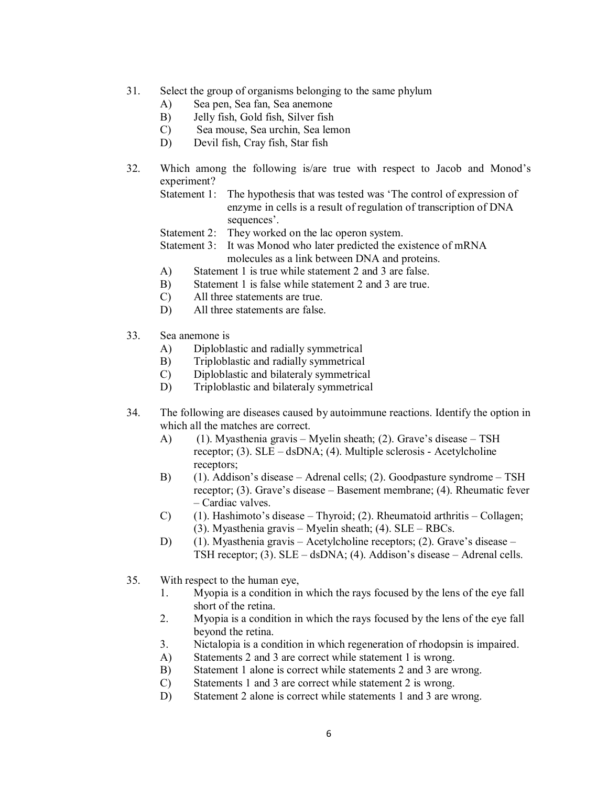- 31. Select the group of organisms belonging to the same phylum
	- A) Sea pen, Sea fan, Sea anemone
	- B) Jelly fish, Gold fish, Silver fish
	- C) Sea mouse, Sea urchin, Sea lemon
	- D) Devil fish, Cray fish, Star fish
- 32. Which among the following is/are true with respect to Jacob and Monod's experiment?
	- Statement 1: The hypothesis that was tested was 'The control of expression of enzyme in cells is a result of regulation of transcription of DNA sequences'.
	- Statement 2: They worked on the lac operon system.
	- Statement 3: It was Monod who later predicted the existence of mRNA molecules as a link between DNA and proteins.
	- A) Statement 1 is true while statement 2 and 3 are false.
	- B) Statement 1 is false while statement 2 and 3 are true.
	- C) All three statements are true.
	- D) All three statements are false.
- 33. Sea anemone is
	- A) Diploblastic and radially symmetrical
	- B) Triploblastic and radially symmetrical
	- C) Diploblastic and bilateraly symmetrical
	- D) Triploblastic and bilateraly symmetrical
- 34. The following are diseases caused by autoimmune reactions. Identify the option in which all the matches are correct.
	- A) (1). Myasthenia gravis Myelin sheath; (2). Grave's disease TSH receptor; (3). SLE – dsDNA; (4). Multiple sclerosis - Acetylcholine receptors;
	- B) (1). Addison's disease Adrenal cells; (2). Goodpasture syndrome TSH receptor; (3). Grave's disease – Basement membrane; (4). Rheumatic fever – Cardiac valves.
	- C) (1). Hashimoto's disease Thyroid; (2). Rheumatoid arthritis Collagen; (3). Myasthenia gravis – Myelin sheath; (4). SLE – RBCs.
	- D) (1). Myasthenia gravis Acetylcholine receptors; (2). Grave's disease TSH receptor; (3). SLE – dsDNA; (4). Addison's disease – Adrenal cells.
- 35. With respect to the human eye,
	- 1. Myopia is a condition in which the rays focused by the lens of the eye fall short of the retina.
	- 2. Myopia is a condition in which the rays focused by the lens of the eye fall beyond the retina.
	- 3. Nictalopia is a condition in which regeneration of rhodopsin is impaired.
	- A) Statements 2 and 3 are correct while statement 1 is wrong.
	- B) Statement 1 alone is correct while statements 2 and 3 are wrong.
	- C) Statements 1 and 3 are correct while statement 2 is wrong.
	- D) Statement 2 alone is correct while statements 1 and 3 are wrong.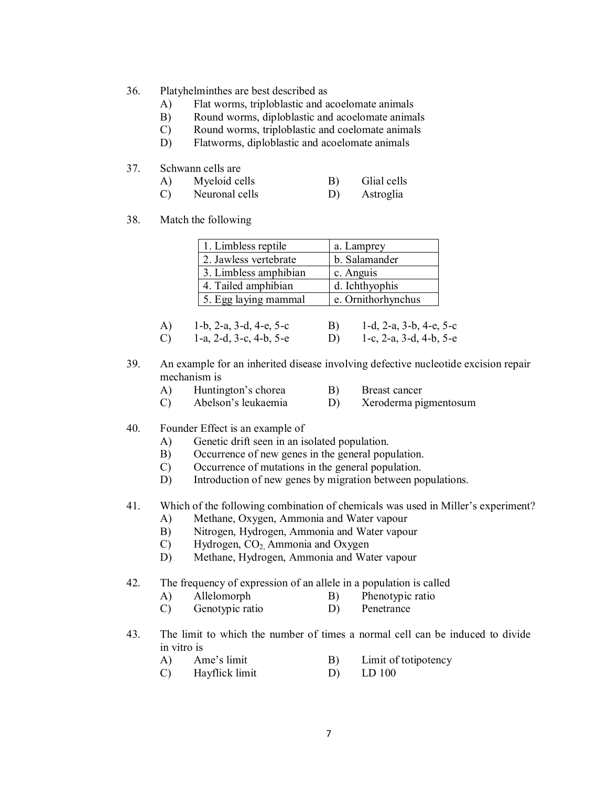- 36. Platyhelminthes are best described as
	- A) Flat worms, triploblastic and acoelomate animals
	- B) Round worms, diploblastic and acoelomate animals
	- C) Round worms, triploblastic and coelomate animals
	- D) Flatworms, diploblastic and acoelomate animals
- 37. Schwann cells are

| A)<br>Myeloid cells |  | Glial cells |
|---------------------|--|-------------|
|---------------------|--|-------------|

- C) Neuronal cells D) Astroglia
- 38. Match the following

| 1. Limbless reptile   | a. Lamprey         |
|-----------------------|--------------------|
| 2. Jawless vertebrate | b. Salamander      |
| 3. Limbless amphibian | c. Anguis          |
| 4. Tailed amphibian   | d. Ichthyophis     |
| 5. Egg laying mammal  | e. Ornithorhynchus |

- A) 1-b, 2-a, 3-d, 4-e, 5-c B) 1-d, 2-a, 3-b, 4-e, 5-c
- C) 1-a, 2-d, 3-c, 4-b, 5-e D) 1-c, 2-a, 3-d, 4-b, 5-e
- 39. An example for an inherited disease involving defective nucleotide excision repair mechanism is
	- A) Huntington's chorea B) Breast cancer
	- C) Abelson's leukaemia D) Xeroderma pigmentosum
- 40. Founder Effect is an example of
	- A) Genetic drift seen in an isolated population.
	- B) Occurrence of new genes in the general population.
	- C) Occurrence of mutations in the general population.
	- D) Introduction of new genes by migration between populations.

# 41. Which of the following combination of chemicals was used in Miller's experiment?

- A) Methane, Oxygen, Ammonia and Water vapour
- B) Nitrogen, Hydrogen, Ammonia and Water vapour
- $C$ ) Hydrogen,  $CO<sub>2</sub>$  Ammonia and Oxygen
- D) Methane, Hydrogen, Ammonia and Water vapour

#### 42. The frequency of expression of an allele in a population is called

- A) Allelomorph B) Phenotypic ratio
- C) Genotypic ratio D) Penetrance
- 43. The limit to which the number of times a normal cell can be induced to divide in vitro is
	- A) Ame's limit B) Limit of totipotency
	- C) Hayflick limit D) LD 100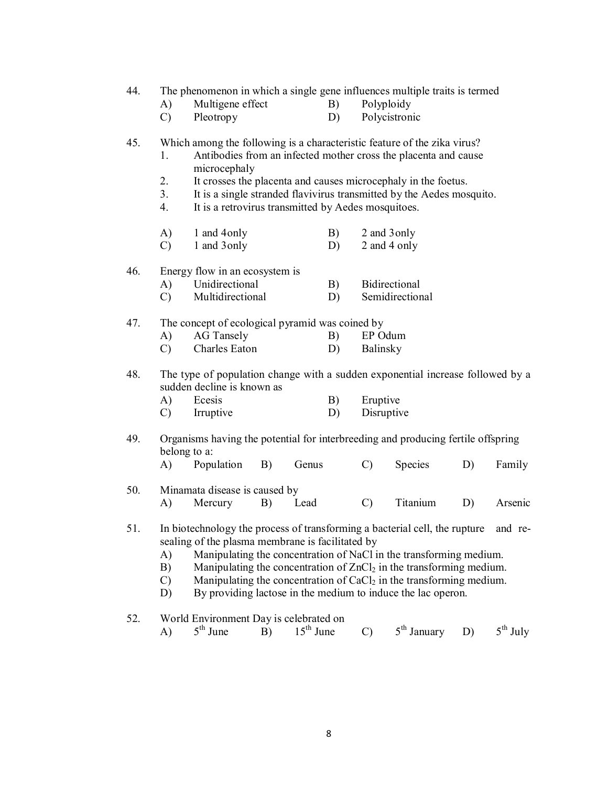| 44. | A)                               | The phenomenon in which a single gene influences multiple traits is termed<br>Multigene effect                                                  |    |             | B) | Polyploidy    |                                                                                                                                                                                                                                                                                                          |    |                      |
|-----|----------------------------------|-------------------------------------------------------------------------------------------------------------------------------------------------|----|-------------|----|---------------|----------------------------------------------------------------------------------------------------------------------------------------------------------------------------------------------------------------------------------------------------------------------------------------------------------|----|----------------------|
|     | $\mathcal{C}$                    | Pleotropy                                                                                                                                       |    |             | D) |               | Polycistronic                                                                                                                                                                                                                                                                                            |    |                      |
| 45. | 1.<br>2.<br>3 <sub>1</sub><br>4. | Which among the following is a characteristic feature of the zika virus?<br>microcephaly<br>It is a retrovirus transmitted by Aedes mosquitoes. |    |             |    |               | Antibodies from an infected mother cross the placenta and cause<br>It crosses the placenta and causes microcephaly in the foetus.<br>It is a single stranded flavivirus transmitted by the Aedes mosquito.                                                                                               |    |                      |
|     | A)                               | 1 and 4 only                                                                                                                                    |    |             | B) |               | 2 and 3 only                                                                                                                                                                                                                                                                                             |    |                      |
|     | C)                               | 1 and 3 only                                                                                                                                    |    |             | D) |               | 2 and 4 only                                                                                                                                                                                                                                                                                             |    |                      |
| 46. |                                  | Energy flow in an ecosystem is                                                                                                                  |    |             |    |               |                                                                                                                                                                                                                                                                                                          |    |                      |
|     | A)                               | Unidirectional                                                                                                                                  |    |             | B) |               | Bidirectional                                                                                                                                                                                                                                                                                            |    |                      |
|     | C)                               | Multidirectional                                                                                                                                |    |             | D) |               | Semidirectional                                                                                                                                                                                                                                                                                          |    |                      |
| 47. |                                  | The concept of ecological pyramid was coined by                                                                                                 |    |             |    |               |                                                                                                                                                                                                                                                                                                          |    |                      |
|     | A)                               | <b>AG</b> Tansely                                                                                                                               |    |             | B) | EP Odum       |                                                                                                                                                                                                                                                                                                          |    |                      |
|     | $\mathcal{C}$                    | Charles Eaton                                                                                                                                   |    |             | D) | Balinsky      |                                                                                                                                                                                                                                                                                                          |    |                      |
| 48. |                                  | The type of population change with a sudden exponential increase followed by a<br>sudden decline is known as                                    |    |             |    |               |                                                                                                                                                                                                                                                                                                          |    |                      |
|     | A)                               | Ecesis                                                                                                                                          |    |             | B) | Eruptive      |                                                                                                                                                                                                                                                                                                          |    |                      |
|     | C)                               | Irruptive                                                                                                                                       |    |             | D) | Disruptive    |                                                                                                                                                                                                                                                                                                          |    |                      |
| 49. | belong to a:                     | Organisms having the potential for interbreeding and producing fertile offspring                                                                |    |             |    |               |                                                                                                                                                                                                                                                                                                          |    |                      |
|     | A)                               | Population                                                                                                                                      | B) | Genus       |    | $\mathcal{C}$ | <b>Species</b>                                                                                                                                                                                                                                                                                           | D) | Family               |
| 50. | A)                               | Minamata disease is caused by<br>Mercury                                                                                                        | B) | Lead        |    | $\mathcal{C}$ | Titanium                                                                                                                                                                                                                                                                                                 | D) | Arsenic              |
| 51. | A)<br>B)<br>$\mathcal{C}$<br>D)  | In biotechnology the process of transforming a bacterial cell, the rupture and re-<br>sealing of the plasma membrane is facilitated by          |    |             |    |               | Manipulating the concentration of NaCl in the transforming medium.<br>Manipulating the concentration of ZnCl <sub>2</sub> in the transforming medium.<br>Manipulating the concentration of CaCl <sub>2</sub> in the transforming medium.<br>By providing lactose in the medium to induce the lac operon. |    |                      |
| 52. | A)                               | World Environment Day is celebrated on<br>$5th$ June                                                                                            | B) | $15th$ June |    | $\mathcal{C}$ | 5 <sup>th</sup> January                                                                                                                                                                                                                                                                                  | D) | $5^{\text{th}}$ July |

8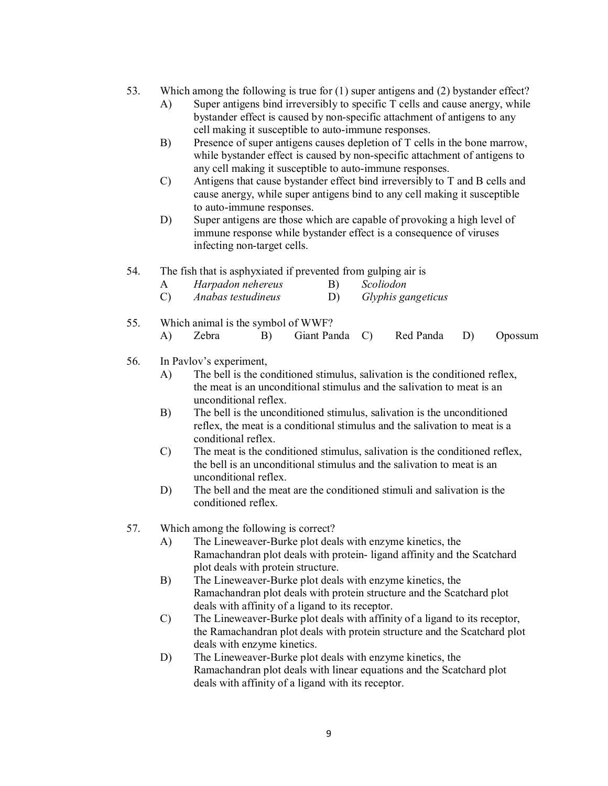- 53. Which among the following is true for (1) super antigens and (2) bystander effect?
	- A) Super antigens bind irreversibly to specific T cells and cause anergy, while bystander effect is caused by non-specific attachment of antigens to any cell making it susceptible to auto-immune responses.
	- B) Presence of super antigens causes depletion of T cells in the bone marrow, while bystander effect is caused by non-specific attachment of antigens to any cell making it susceptible to auto-immune responses.
	- C) Antigens that cause bystander effect bind irreversibly to T and B cells and cause anergy, while super antigens bind to any cell making it susceptible to auto-immune responses.
	- D) Super antigens are those which are capable of provoking a high level of immune response while bystander effect is a consequence of viruses infecting non-target cells.
- 54. The fish that is asphyxiated if prevented from gulping air is

| Harpadon nehereus |  | Scoliodon |
|-------------------|--|-----------|
|-------------------|--|-----------|

- C) *Anabas testudineus* D) *Glyphis gangeticus*
- 55. Which animal is the symbol of WWF? A) Zebra B) Giant Panda C) Red Panda D) Opossum
- 56. In Pavlov's experiment,
	- A) The bell is the conditioned stimulus, salivation is the conditioned reflex, the meat is an unconditional stimulus and the salivation to meat is an unconditional reflex.
	- B) The bell is the unconditioned stimulus, salivation is the unconditioned reflex, the meat is a conditional stimulus and the salivation to meat is a conditional reflex.
	- C) The meat is the conditioned stimulus, salivation is the conditioned reflex, the bell is an unconditional stimulus and the salivation to meat is an unconditional reflex.
	- D) The bell and the meat are the conditioned stimuli and salivation is the conditioned reflex.
- 57. Which among the following is correct?
	- A) The Lineweaver-Burke plot deals with enzyme kinetics, the Ramachandran plot deals with protein- ligand affinity and the Scatchard plot deals with protein structure.
	- B) The Lineweaver-Burke plot deals with enzyme kinetics, the Ramachandran plot deals with protein structure and the Scatchard plot deals with affinity of a ligand to its receptor.
	- C) The Lineweaver-Burke plot deals with affinity of a ligand to its receptor, the Ramachandran plot deals with protein structure and the Scatchard plot deals with enzyme kinetics.
	- D) The Lineweaver-Burke plot deals with enzyme kinetics, the Ramachandran plot deals with linear equations and the Scatchard plot deals with affinity of a ligand with its receptor.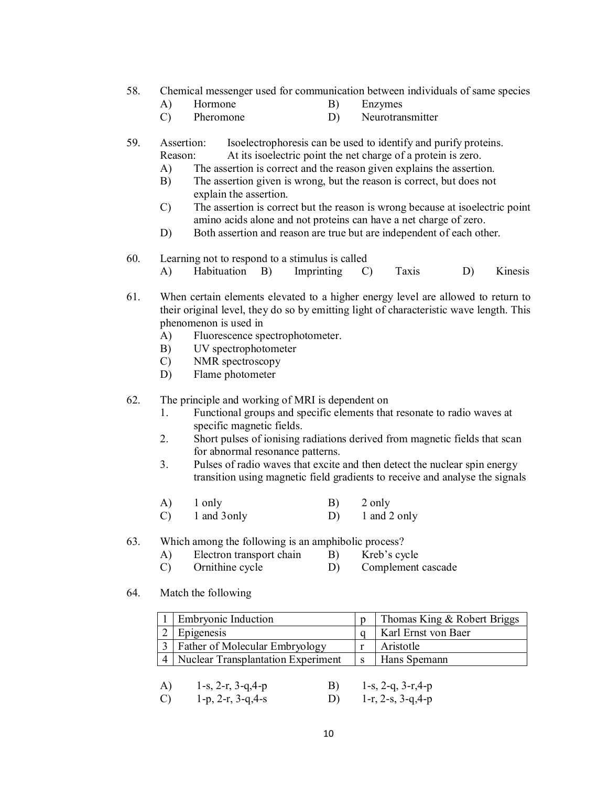- 58. Chemical messenger used for communication between individuals of same species
	- A) Hormone B) Enzymes
	- C) Pheromone D) Neurotransmitter
- 59. Assertion: Isoelectrophoresis can be used to identify and purify proteins. Reason: At its isoelectric point the net charge of a protein is zero.
	- A) The assertion is correct and the reason given explains the assertion.
	- B) The assertion given is wrong, but the reason is correct, but does not explain the assertion.
	- C) The assertion is correct but the reason is wrong because at isoelectric point amino acids alone and not proteins can have a net charge of zero.
	- D) Both assertion and reason are true but are independent of each other.
- 60. Learning not to respond to a stimulus is called
	- A) Habituation B) Imprinting C) Taxis D) Kinesis
- 61. When certain elements elevated to a higher energy level are allowed to return to their original level, they do so by emitting light of characteristic wave length. This phenomenon is used in
	- A) Fluorescence spectrophotometer.
	- B) UV spectrophotometer
	- C) NMR spectroscopy
	- D) Flame photometer
- 62. The principle and working of MRI is dependent on
	- 1. Functional groups and specific elements that resonate to radio waves at specific magnetic fields.
	- 2. Short pulses of ionising radiations derived from magnetic fields that scan for abnormal resonance patterns.
	- 3. Pulses of radio waves that excite and then detect the nuclear spin energy transition using magnetic field gradients to receive and analyse the signals
	- A) 1 only B) 2 only C) 1 and 3only D) 1 and 2 only
- 63. Which among the following is an amphibolic process?
	- A) Electron transport chain B) Kreb's cycle
	- C) Ornithine cycle D) Complement cascade
- 64. Match the following

| <b>Embryonic Induction</b>                |   | Thomas King & Robert Briggs |
|-------------------------------------------|---|-----------------------------|
| Epigenesis                                |   | Karl Ernst von Baer         |
| Father of Molecular Embryology            |   | Aristotle                   |
| <b>Nuclear Transplantation Experiment</b> | S | Hans Spemann                |
|                                           |   |                             |

A) 1-s, 2-r, 3-q,4-p B) 1-s, 2-q, 3-r,4-p C)  $1-p$ ,  $2-r$ ,  $3-q$ ,  $4-s$  D)  $1-r$ ,  $2-s$ ,  $3-q$ ,  $4-p$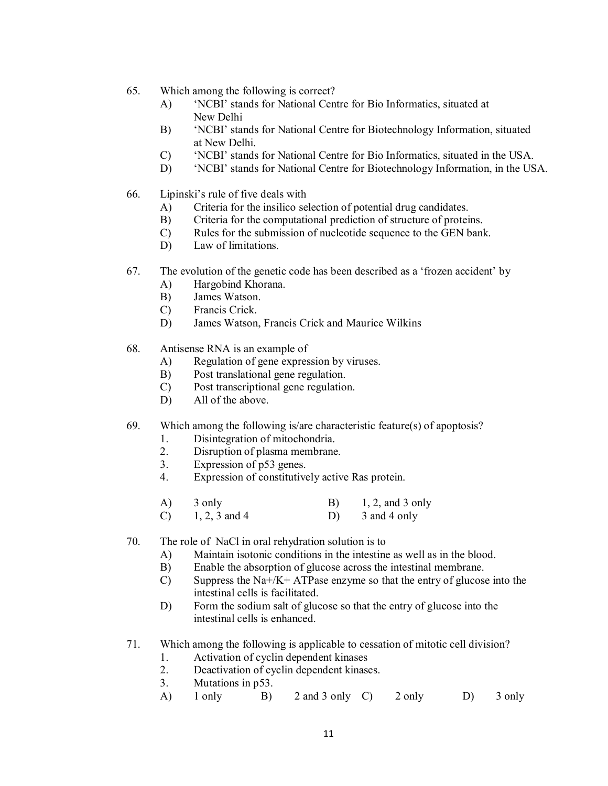- 65. Which among the following is correct?
	- A) 'NCBI' stands for National Centre for Bio Informatics, situated at New Delhi
	- B) 'NCBI' stands for National Centre for Biotechnology Information, situated at New Delhi.
	- C) 'NCBI' stands for National Centre for Bio Informatics, situated in the USA.
	- D) 'NCBI' stands for National Centre for Biotechnology Information, in the USA.
- 66. Lipinski's rule of five deals with
	- A) Criteria for the insilico selection of potential drug candidates.
	- B) Criteria for the computational prediction of structure of proteins.
	- C) Rules for the submission of nucleotide sequence to the GEN bank.
	- D) Law of limitations.
- 67. The evolution of the genetic code has been described as a 'frozen accident' by
	- A) Hargobind Khorana.
	- B) James Watson.
	- C) Francis Crick.
	- D) James Watson, Francis Crick and Maurice Wilkins
- 68. Antisense RNA is an example of
	- A) Regulation of gene expression by viruses.
	- B) Post translational gene regulation.
	- C) Post transcriptional gene regulation.
	- D) All of the above.

# 69. Which among the following is/are characteristic feature(s) of apoptosis?

- 1. Disintegration of mitochondria.
- 2. Disruption of plasma membrane.
- 3. Expression of p53 genes.
- 4. Expression of constitutively active Ras protein.
- $(A)$  3 only  $B)$  1, 2, and 3 only C)  $1, 2, 3$  and 4 D) 3 and 4 only
- 70. The role of NaCl in oral rehydration solution is to
	- A) Maintain isotonic conditions in the intestine as well as in the blood.
	- B) Enable the absorption of glucose across the intestinal membrane.
	- C) Suppress the Na+/K+ ATPase enzyme so that the entry of glucose into the intestinal cells is facilitated.
	- D) Form the sodium salt of glucose so that the entry of glucose into the intestinal cells is enhanced.
- 71. Which among the following is applicable to cessation of mitotic cell division?
	- 1. Activation of cyclin dependent kinases
	- 2. Deactivation of cyclin dependent kinases.
	- 3. Mutations in p53.
	- A) 1 only B) 2 and 3 only C) 2 only D) 3 only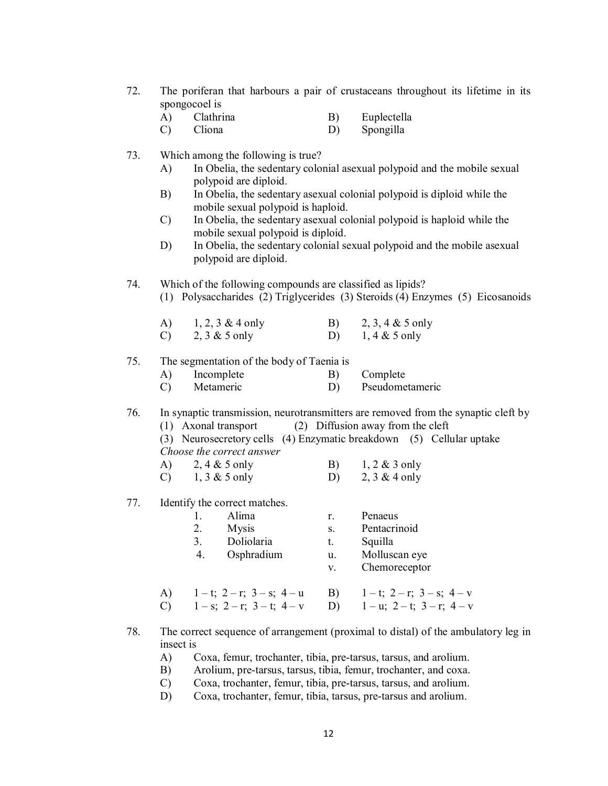- 72. The poriferan that harbours a pair of crustaceans throughout its lifetime in its spongocoel is
	- A) Clathrina B) Euplectella
	- C) Cliona D) Spongilla
- 73. Which among the following is true?
	- A) In Obelia, the sedentary colonial asexual polypoid and the mobile sexual polypoid are diploid.
	- B) In Obelia, the sedentary asexual colonial polypoid is diploid while the mobile sexual polypoid is haploid.
	- C) In Obelia, the sedentary asexual colonial polypoid is haploid while the mobile sexual polypoid is diploid.
	- D) In Obelia, the sedentary colonial sexual polypoid and the mobile asexual polypoid are diploid.

74. Which of the following compounds are classified as lipids? (1) Polysaccharides (2) Triglycerides (3) Steroids (4) Enzymes (5) Eicosanoids

| A)            | $1, 2, 3 \& 4$ only | 2, 3, 4 & 5 only |
|---------------|---------------------|------------------|
| $\mathcal{C}$ | 2, $3 & 5$ only     | $1, 4 \& 5$ only |

# 75. The segmentation of the body of Taenia is

A) Incomplete B) Complete C) Metameric D) Pseudometameric

76. In synaptic transmission, neurotransmitters are removed from the synaptic cleft by

- (1) Axonal transport (2) Diffusion away from the cleft
- (3) Neurosecretory cells (4) Enzymatic breakdown (5) Cellular uptake *Choose the correct answer*
- A)  $2, 4 \& 5$  only B)  $1, 2 \& 3$  only
- C)  $1, 3 \& 5$  only D)  $2, 3 \& 4$  only
- 77. Identify the correct matches.
	- 1. Alima r. Penaeus 2. Mysis s. Pentacrinoid 3. Doliolaria t. Squilla 4. Osphradium u. Molluscan eye v. Chemoreceptor
	- A)  $1-t$ ;  $2-r$ ;  $3-s$ ;  $4-u$  B)  $1-t$ ;  $2-r$ ;  $3-s$ ;  $4-v$ <br>C)  $1-s$ ;  $2-r$ ;  $3-t$ ;  $4-v$  D)  $1-u$ ;  $2-t$ ;  $3-r$ ;  $4-v$ C)  $1 - s$ ;  $2 - r$ ;  $3 - t$ ;  $4 - v$  D)
	-
- 78. The correct sequence of arrangement (proximal to distal) of the ambulatory leg in insect is
	- A) Coxa, femur, trochanter, tibia, pre-tarsus, tarsus, and arolium.
	- B) Arolium, pre-tarsus, tarsus, tibia, femur, trochanter, and coxa.
	- C) Coxa, trochanter, femur, tibia, pre-tarsus, tarsus, and arolium.
	- D) Coxa, trochanter, femur, tibia, tarsus, pre-tarsus and arolium.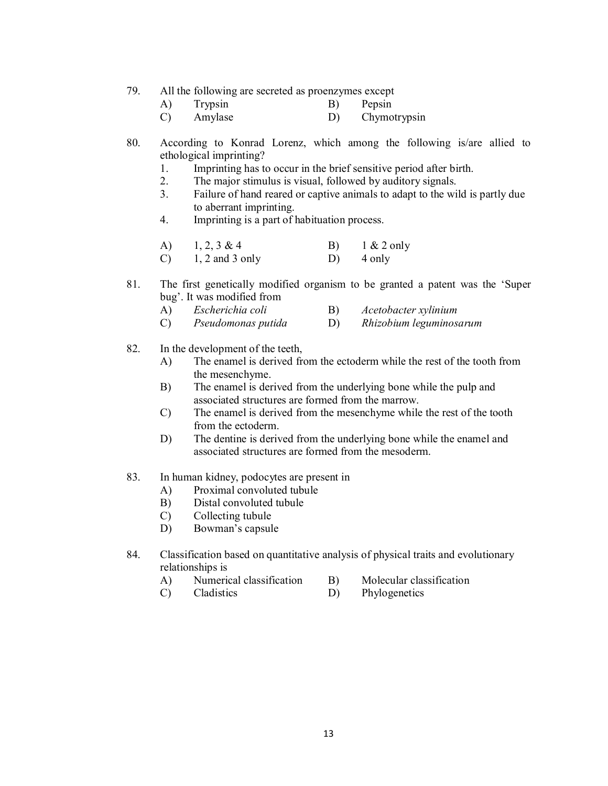79. All the following are secreted as proenzymes except

- A) Trypsin B) Pepsin
- C) Amylase D) Chymotrypsin
- 80. According to Konrad Lorenz, which among the following is/are allied to ethological imprinting?
	- 1. Imprinting has to occur in the brief sensitive period after birth.<br>2. The maior stimulus is visual, followed by auditory signals.
	- The major stimulus is visual, followed by auditory signals.
	- 3. Failure of hand reared or captive animals to adapt to the wild is partly due to aberrant imprinting.
	- 4. Imprinting is a part of habituation process.
	- A)  $1, 2, 3 \& 4$  B)  $1 \& 2$  only C)  $1, 2$  and  $3$  only D)  $4$  only
- 81. The first genetically modified organism to be granted a patent was the 'Super bug'. It was modified from
	- A) *Escherichia coli* B) *Acetobacter xylinium*
	- C) *Pseudomonas putida* D) *Rhizobium leguminosarum*
- 82. In the development of the teeth,
	- A) The enamel is derived from the ectoderm while the rest of the tooth from the mesenchyme.
	- B) The enamel is derived from the underlying bone while the pulp and associated structures are formed from the marrow.
	- C) The enamel is derived from the mesenchyme while the rest of the tooth from the ectoderm.
	- D) The dentine is derived from the underlying bone while the enamel and associated structures are formed from the mesoderm.
- 83. In human kidney, podocytes are present in
	- A) Proximal convoluted tubule
	- B) Distal convoluted tubule
	- C) Collecting tubule
	- D) Bowman's capsule
- 84. Classification based on quantitative analysis of physical traits and evolutionary relationships is
	- A) Numerical classification B) Molecular classification
		-
	- C) Cladistics D) Phylogenetics
		-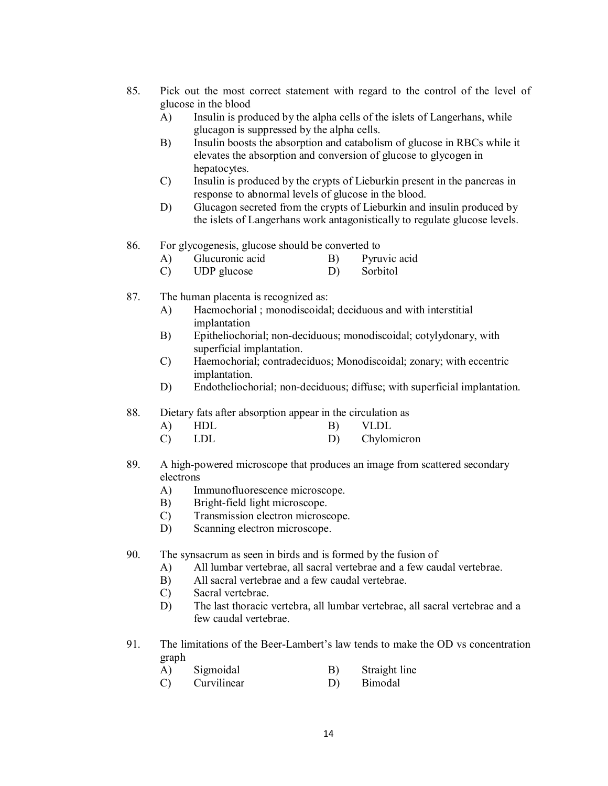- 85. Pick out the most correct statement with regard to the control of the level of glucose in the blood
	- A) Insulin is produced by the alpha cells of the islets of Langerhans, while glucagon is suppressed by the alpha cells.
	- B) Insulin boosts the absorption and catabolism of glucose in RBCs while it elevates the absorption and conversion of glucose to glycogen in hepatocytes.
	- C) Insulin is produced by the crypts of Lieburkin present in the pancreas in response to abnormal levels of glucose in the blood.
	- D) Glucagon secreted from the crypts of Lieburkin and insulin produced by the islets of Langerhans work antagonistically to regulate glucose levels.
- 86. For glycogenesis, glucose should be converted to
	- A) Glucuronic acid B) Pyruvic acid
	- C) UDP glucose D) Sorbitol
- 87. The human placenta is recognized as:
	- A) Haemochorial ; monodiscoidal; deciduous and with interstitial implantation
	- B) Epitheliochorial; non-deciduous; monodiscoidal; cotylydonary, with superficial implantation.
	- C) Haemochorial; contradeciduos; Monodiscoidal; zonary; with eccentric implantation.
	- D) Endotheliochorial; non-deciduous; diffuse; with superficial implantation.
- 88. Dietary fats after absorption appear in the circulation as
	- A) HDL B) VLDL
	- C) LDL D) Chylomicron
- 89. A high-powered microscope that produces an image from scattered secondary electrons
	- A) Immunofluorescence microscope.
	- B) Bright-field light microscope.
	- C) Transmission electron microscope.
	- D) Scanning electron microscope.
- 90. The synsacrum as seen in birds and is formed by the fusion of
	- A) All lumbar vertebrae, all sacral vertebrae and a few caudal vertebrae.
	- B) All sacral vertebrae and a few caudal vertebrae.
	- C) Sacral vertebrae.
	- D) The last thoracic vertebra, all lumbar vertebrae, all sacral vertebrae and a few caudal vertebrae.
- 91. The limitations of the Beer-Lambert's law tends to make the OD vs concentration graph
	- A) Sigmoidal B) Straight line
	- C) Curvilinear D) Bimodal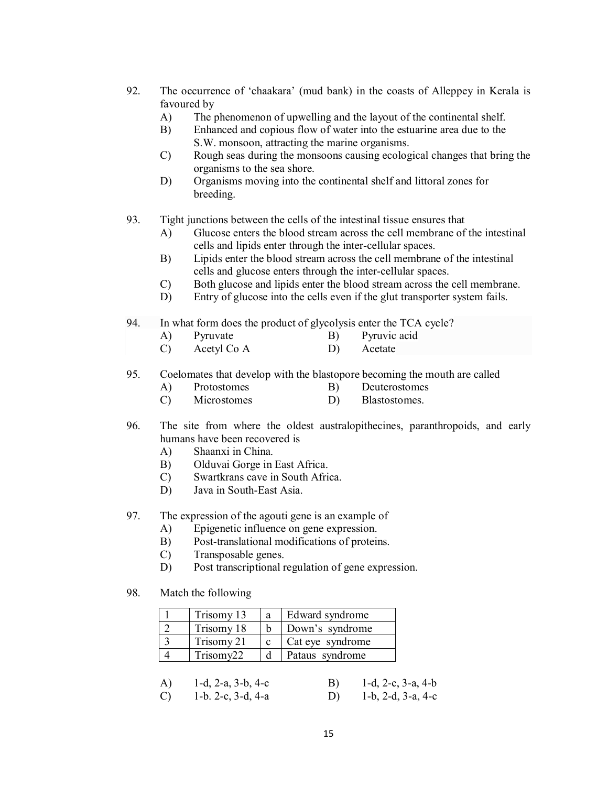- 92. The occurrence of 'chaakara' (mud bank) in the coasts of Alleppey in Kerala is favoured by
	- A) The phenomenon of upwelling and the layout of the continental shelf.
	- B) Enhanced and copious flow of water into the estuarine area due to the S.W. monsoon, attracting the marine organisms.
	- C) Rough seas during the monsoons causing ecological changes that bring the organisms to the sea shore.
	- D) Organisms moving into the continental shelf and littoral zones for breeding.
- 93. Tight junctions between the cells of the intestinal tissue ensures that
	- A) Glucose enters the blood stream across the cell membrane of the intestinal cells and lipids enter through the inter-cellular spaces.
	- B) Lipids enter the blood stream across the cell membrane of the intestinal cells and glucose enters through the inter-cellular spaces.
	- C) Both glucose and lipids enter the blood stream across the cell membrane.
	- D) Entry of glucose into the cells even if the glut transporter system fails.
- 94. In what form does the product of glycolysis enter the TCA cycle?
	- A) Pyruvate B) Pyruvic acid
	- C) Acetyl Co A D) Acetate

95. Coelomates that develop with the blastopore becoming the mouth are called

- A) Protostomes B) Deuterostomes
- C) Microstomes D) Blastostomes.
- 96. The site from where the oldest australopithecines, paranthropoids, and early humans have been recovered is
	- A) Shaanxi in China.
	- B) Olduvai Gorge in East Africa.
	- C) Swartkrans cave in South Africa.
	- D) Java in South-East Asia.
- 97. The expression of the agouti gene is an example of
	- A) Epigenetic influence on gene expression.
	- B) Post-translational modifications of proteins.
	- C) Transposable genes.
	- D) Post transcriptional regulation of gene expression.
- 98. Match the following

| Trisomy 13 | a | Edward syndrome  |
|------------|---|------------------|
| Trisomy 18 |   | Down's syndrome  |
| Trisomy 21 |   | Cat eye syndrome |
| Trisomy22  |   | Pataus syndrome  |

| A)              | 1-d, 2-a, 3-b, 4-c | <b>B</b> ) | $1-d$ , $2-c$ , $3-a$ , $4-b$ |
|-----------------|--------------------|------------|-------------------------------|
| $\mathcal{C}$ ) | 1-b. 2-c, 3-d, 4-a |            | D) 1-b, 2-d, 3-a, 4-c         |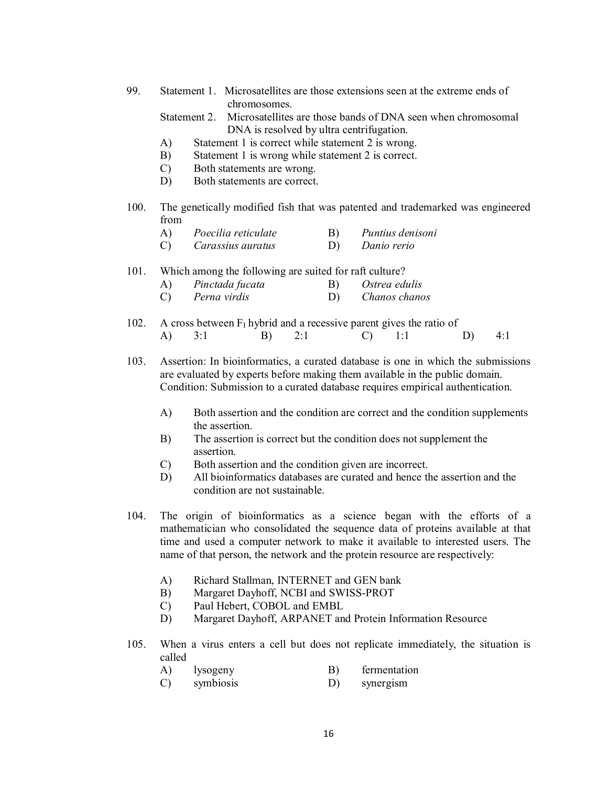99. Statement 1. Microsatellites are those extensions seen at the extreme ends of chromosomes.

Statement 2. Microsatellites are those bands of DNA seen when chromosomal DNA is resolved by ultra centrifugation.

- A) Statement 1 is correct while statement 2 is wrong.
- B) Statement 1 is wrong while statement 2 is correct.
- C) Both statements are wrong.
- D) Both statements are correct.
- 100. The genetically modified fish that was patented and trademarked was engineered from

| A) | Poecilia reticulate | B) | Puntius denisoni |
|----|---------------------|----|------------------|
| C) | Carassius auratus   | D) | Danio rerio      |

101. Which among the following are suited for raft culture?

| A) | Pinctada fucata | B) | Ostrea edulis |
|----|-----------------|----|---------------|
| C) | Perna virdis    |    | Chanos chanos |

102. A cross between  $F_1$  hybrid and a recessive parent gives the ratio of A) 3:1 B) 2:1 C) 1:1 D) 4:1

103. Assertion: In bioinformatics, a curated database is one in which the submissions are evaluated by experts before making them available in the public domain. Condition: Submission to a curated database requires empirical authentication.

- A) Both assertion and the condition are correct and the condition supplements the assertion.
- B) The assertion is correct but the condition does not supplement the assertion.
- C) Both assertion and the condition given are incorrect.
- D) All bioinformatics databases are curated and hence the assertion and the condition are not sustainable.
- 104. The origin of bioinformatics as a science began with the efforts of a mathematician who consolidated the sequence data of proteins available at that time and used a computer network to make it available to interested users. The name of that person, the network and the protein resource are respectively:
	- A) Richard Stallman, INTERNET and GEN bank
	- B) Margaret Dayhoff, NCBI and SWISS-PROT
	- C) Paul Hebert, COBOL and EMBL
	- D) Margaret Dayhoff, ARPANET and Protein Information Resource
- 105. When a virus enters a cell but does not replicate immediately, the situation is called
	- A) lysogeny B) fermentation
	- C) symbiosis D) synergism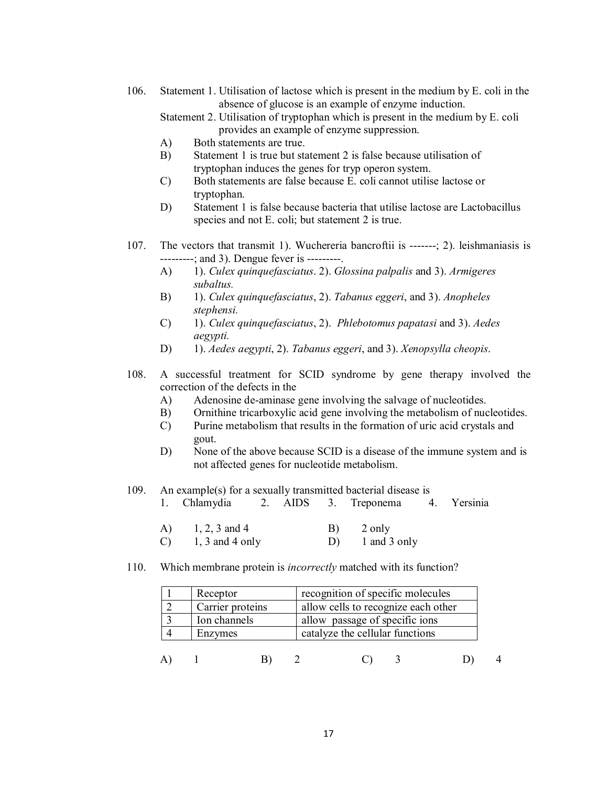106. Statement 1. Utilisation of lactose which is present in the medium by E. coli in the absence of glucose is an example of enzyme induction.

Statement 2. Utilisation of tryptophan which is present in the medium by E. coli provides an example of enzyme suppression.

- A) Both statements are true.
- B) Statement 1 is true but statement 2 is false because utilisation of tryptophan induces the genes for tryp operon system.
- C) Both statements are false because E. coli cannot utilise lactose or tryptophan.
- D) Statement 1 is false because bacteria that utilise lactose are Lactobacillus species and not E. coli; but statement 2 is true.
- 107. The vectors that transmit 1). Wuchereria bancroftii is -------; 2). leishmaniasis is ---------; and 3). Dengue fever is ---------.
	- A) 1). *Culex quinquefasciatus*. 2). *Glossina palpalis* and 3). *Armigeres subaltus.*
	- B) 1). *Culex quinquefasciatus*, 2). *Tabanus eggeri*, and 3). *Anopheles stephensi.*
	- C) 1). *Culex quinquefasciatus*, 2). *Phlebotomus papatasi* and 3). *Aedes aegypti.*
	- D) 1). *Aedes aegypti*, 2). *Tabanus eggeri*, and 3). *Xenopsylla cheopis*.
- 108. A successful treatment for SCID syndrome by gene therapy involved the correction of the defects in the
	- A) Adenosine de-aminase gene involving the salvage of nucleotides.
	- B) Ornithine tricarboxylic acid gene involving the metabolism of nucleotides.
	- C) Purine metabolism that results in the formation of uric acid crystals and gout.
	- D) None of the above because SCID is a disease of the immune system and is not affected genes for nucleotide metabolism.

#### 109. An example(s) for a sexually transmitted bacterial disease is

- 1. Chlamydia 2. AIDS 3. Treponema 4. Yersinia
- A)  $1, 2, 3$  and 4 B)  $2$  only
- $(C)$  1, 3 and 4 only D) 1 and 3 only
- 110. Which membrane protein is *incorrectly* matched with its function?

| Receptor         | recognition of specific molecules   |  |  |
|------------------|-------------------------------------|--|--|
| Carrier proteins | allow cells to recognize each other |  |  |
| Ion channels     | allow passage of specific ions      |  |  |
| Enzymes          | catalyze the cellular functions     |  |  |
|                  |                                     |  |  |
|                  |                                     |  |  |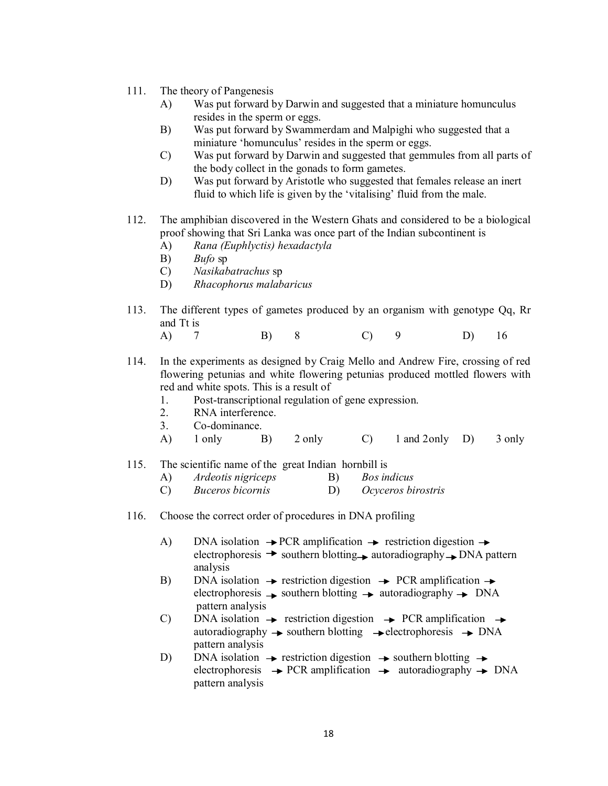- 111. The theory of Pangenesis
	- A) Was put forward by Darwin and suggested that a miniature homunculus resides in the sperm or eggs.
	- B) Was put forward by Swammerdam and Malpighi who suggested that a miniature 'homunculus' resides in the sperm or eggs.
	- C) Was put forward by Darwin and suggested that gemmules from all parts of the body collect in the gonads to form gametes.
	- D) Was put forward by Aristotle who suggested that females release an inert fluid to which life is given by the 'vitalising' fluid from the male.
- 112. The amphibian discovered in the Western Ghats and considered to be a biological proof showing that Sri Lanka was once part of the Indian subcontinent is
	- A) *Rana (Euphlyctis) hexadactyla*
	- B) *Bufo* sp
	- C) *Nasikabatrachus* sp
	- D) *Rhacophorus malabaricus*
- 113. The different types of gametes produced by an organism with genotype Qq, Rr and Tt is
	- A) 7 B) 8 C) 9 D) 16
- 114. In the experiments as designed by Craig Mello and Andrew Fire, crossing of red flowering petunias and white flowering petunias produced mottled flowers with red and white spots. This is a result of
	- 1. Post-transcriptional regulation of gene expression.
	- 2. RNA interference.
	- 3. Co-dominance.
	- A) 1 only B) 2 only C) 1 and 2only D) 3 only

# 115. The scientific name of the great Indian hornbill is

- A) *Ardeotis nigriceps* B) *Bos indicus*
- C) *Buceros bicornis* D) *Ocyceros birostris*
- 116. Choose the correct order of procedures in DNA profiling
	- A) DNA isolation  $\rightarrow$  PCR amplification  $\rightarrow$  restriction digestion  $\rightarrow$ electrophoresis  $\rightarrow$  southern blotting autoradiography  $\rightarrow$  DNA pattern analysis
	- B) DNA isolation  $\rightarrow$  restriction digestion  $\rightarrow$  PCR amplification  $\rightarrow$ electrophoresis  $\rightarrow$  southern blotting  $\rightarrow$  autoradiography  $\rightarrow$  DNA pattern analysis
	- C) DNA isolation  $\rightarrow$  restriction digestion  $\rightarrow$  PCR amplification  $\rightarrow$ autoradiography  $\rightarrow$  southern blotting  $\rightarrow$  electrophoresis  $\rightarrow$  DNA pattern analysis
	- D) DNA isolation  $\rightarrow$  restriction digestion  $\rightarrow$  southern blotting  $\rightarrow$ electrophoresis  $\rightarrow$  PCR amplification  $\rightarrow$  autoradiography  $\rightarrow$  DNA pattern analysis